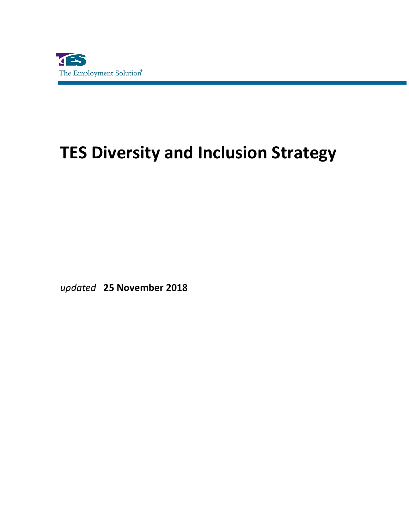

## **TES Diversity and Inclusion Strategy**

*updated* **25 November 2018**